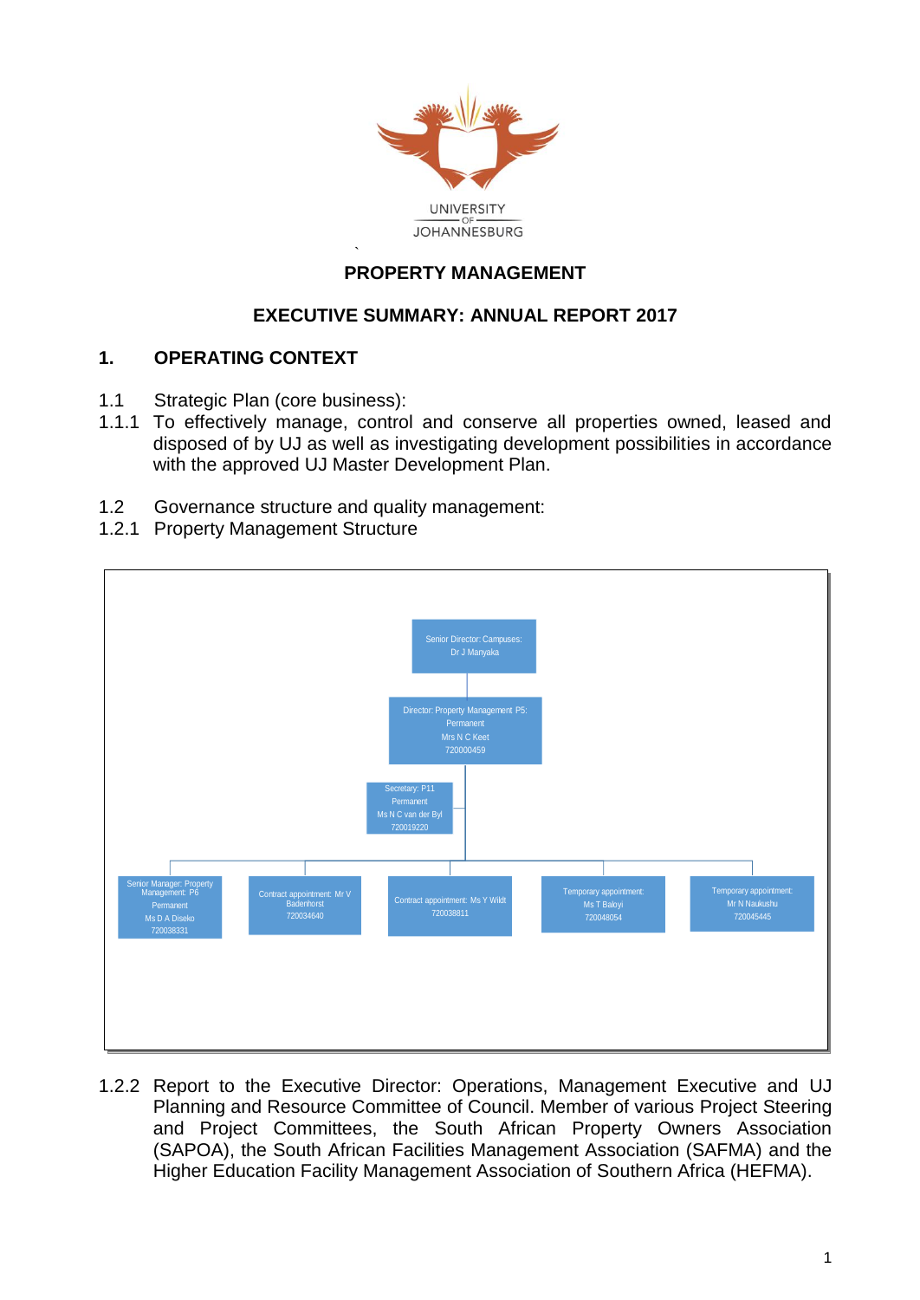

#### ` **PROPERTY MANAGEMENT**

### **EXECUTIVE SUMMARY: ANNUAL REPORT 2017**

#### **1. OPERATING CONTEXT**

- 1.1 Strategic Plan (core business):
- 1.1.1 To effectively manage, control and conserve all properties owned, leased and disposed of by UJ as well as investigating development possibilities in accordance with the approved UJ Master Development Plan.
- 1.2 Governance structure and quality management:
- 1.2.1 Property Management Structure



1.2.2 Report to the Executive Director: Operations, Management Executive and UJ Planning and Resource Committee of Council. Member of various Project Steering and Project Committees, the South African Property Owners Association (SAPOA), the South African Facilities Management Association (SAFMA) and the Higher Education Facility Management Association of Southern Africa (HEFMA).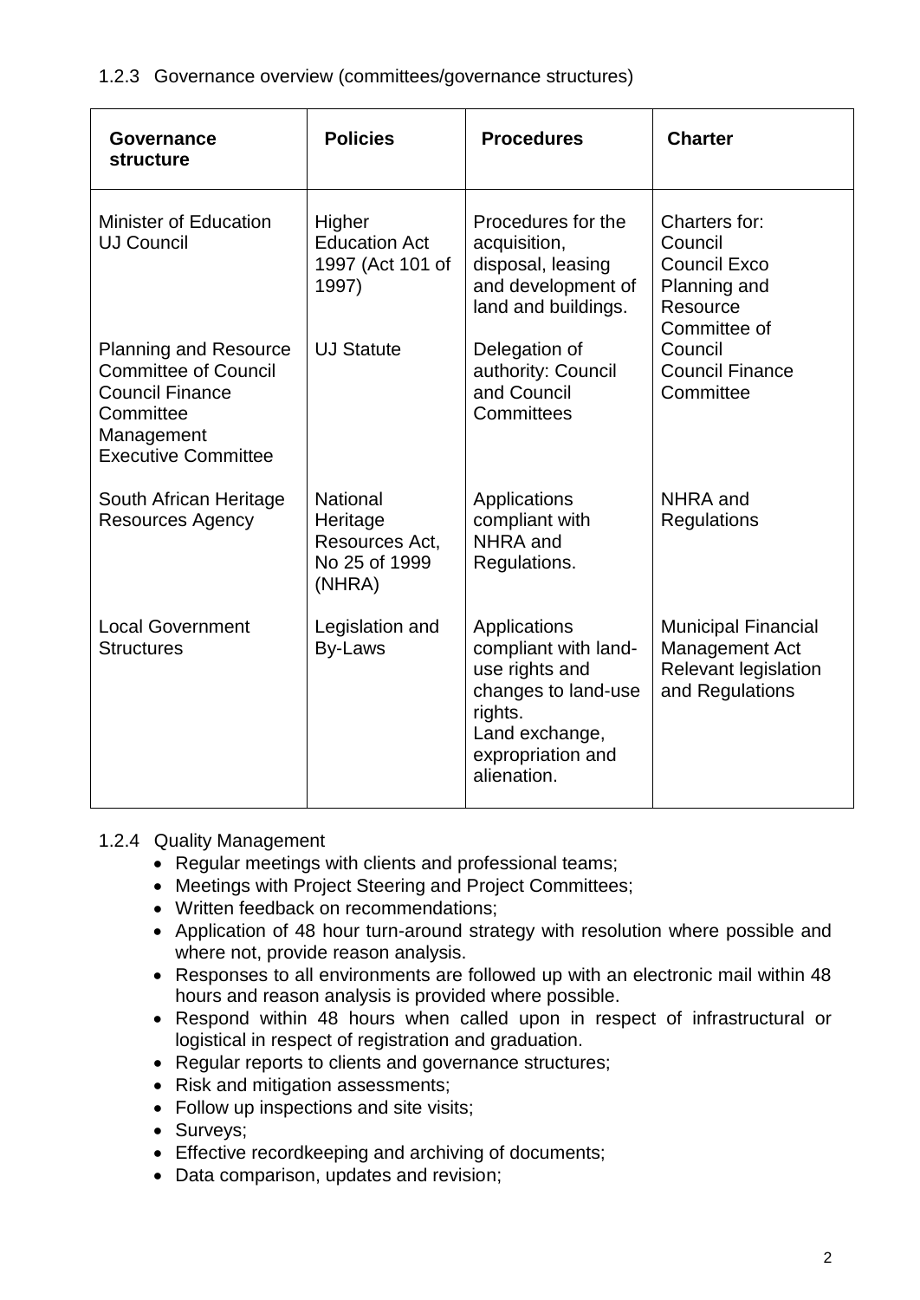1.2.3 Governance overview (committees/governance structures)

| Governance<br>structure                                                                                                                        | <b>Policies</b>                                                          | <b>Procedures</b>                                                                                                                              | <b>Charter</b>                                                                                        |  |
|------------------------------------------------------------------------------------------------------------------------------------------------|--------------------------------------------------------------------------|------------------------------------------------------------------------------------------------------------------------------------------------|-------------------------------------------------------------------------------------------------------|--|
| <b>Minister of Education</b><br><b>UJ Council</b>                                                                                              | Higher<br><b>Education Act</b><br>1997 (Act 101 of<br>1997)              | Procedures for the<br>acquisition,<br>disposal, leasing<br>and development of<br>land and buildings.                                           | Charters for:<br>Council<br><b>Council Exco</b><br>Planning and<br>Resource<br>Committee of           |  |
| <b>Planning and Resource</b><br><b>Committee of Council</b><br><b>Council Finance</b><br>Committee<br>Management<br><b>Executive Committee</b> | <b>UJ Statute</b>                                                        | Delegation of<br>authority: Council<br>and Council<br>Committees                                                                               | Council<br><b>Council Finance</b><br>Committee                                                        |  |
| South African Heritage<br><b>Resources Agency</b>                                                                                              | <b>National</b><br>Heritage<br>Resources Act,<br>No 25 of 1999<br>(NHRA) | Applications<br>compliant with<br>NHRA and<br>Regulations.                                                                                     | NHRA and<br>Regulations                                                                               |  |
| <b>Local Government</b><br><b>Structures</b>                                                                                                   | Legislation and<br>By-Laws                                               | Applications<br>compliant with land-<br>use rights and<br>changes to land-use<br>rights.<br>Land exchange,<br>expropriation and<br>alienation. | <b>Municipal Financial</b><br><b>Management Act</b><br><b>Relevant legislation</b><br>and Regulations |  |

# 1.2.4 Quality Management

- Regular meetings with clients and professional teams;
- Meetings with Project Steering and Project Committees;
- Written feedback on recommendations;
- Application of 48 hour turn-around strategy with resolution where possible and where not, provide reason analysis.
- Responses to all environments are followed up with an electronic mail within 48 hours and reason analysis is provided where possible.
- Respond within 48 hours when called upon in respect of infrastructural or logistical in respect of registration and graduation.
- Regular reports to clients and governance structures;
- Risk and mitigation assessments;
- Follow up inspections and site visits;
- Surveys;
- Effective recordkeeping and archiving of documents;
- Data comparison, updates and revision;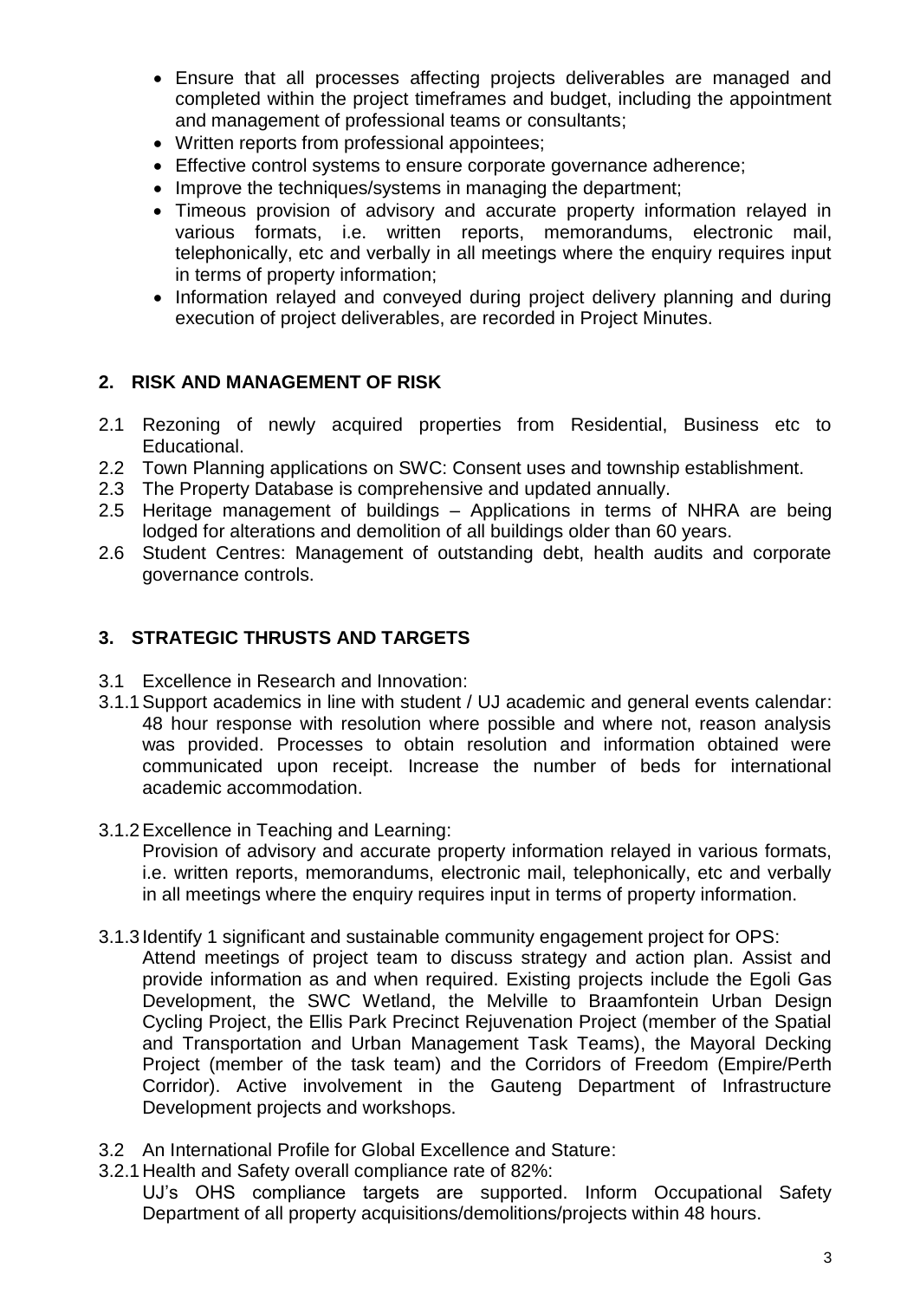- Ensure that all processes affecting projects deliverables are managed and completed within the project timeframes and budget, including the appointment and management of professional teams or consultants;
- Written reports from professional appointees;
- Effective control systems to ensure corporate governance adherence;
- Improve the techniques/systems in managing the department;
- Timeous provision of advisory and accurate property information relayed in various formats, i.e. written reports, memorandums, electronic mail, telephonically, etc and verbally in all meetings where the enquiry requires input in terms of property information;
- Information relayed and conveyed during project delivery planning and during execution of project deliverables, are recorded in Project Minutes.

# **2. RISK AND MANAGEMENT OF RISK**

- 2.1 Rezoning of newly acquired properties from Residential, Business etc to Educational.
- 2.2 Town Planning applications on SWC: Consent uses and township establishment.
- 2.3 The Property Database is comprehensive and updated annually.
- 2.5 Heritage management of buildings Applications in terms of NHRA are being lodged for alterations and demolition of all buildings older than 60 years.
- 2.6 Student Centres: Management of outstanding debt, health audits and corporate governance controls.

# **3. STRATEGIC THRUSTS AND TARGETS**

- 3.1 Excellence in Research and Innovation:
- 3.1.1Support academics in line with student / UJ academic and general events calendar: 48 hour response with resolution where possible and where not, reason analysis was provided. Processes to obtain resolution and information obtained were communicated upon receipt. Increase the number of beds for international academic accommodation.
- 3.1.2Excellence in Teaching and Learning:

Provision of advisory and accurate property information relayed in various formats, i.e. written reports, memorandums, electronic mail, telephonically, etc and verbally in all meetings where the enquiry requires input in terms of property information.

- 3.1.3Identify 1 significant and sustainable community engagement project for OPS:
	- Attend meetings of project team to discuss strategy and action plan. Assist and provide information as and when required. Existing projects include the Egoli Gas Development, the SWC Wetland, the Melville to Braamfontein Urban Design Cycling Project, the Ellis Park Precinct Rejuvenation Project (member of the Spatial and Transportation and Urban Management Task Teams), the Mayoral Decking Project (member of the task team) and the Corridors of Freedom (Empire/Perth Corridor). Active involvement in the Gauteng Department of Infrastructure Development projects and workshops.
- 3.2 An International Profile for Global Excellence and Stature:
- 3.2.1Health and Safety overall compliance rate of 82%:

UJ's OHS compliance targets are supported. Inform Occupational Safety Department of all property acquisitions/demolitions/projects within 48 hours.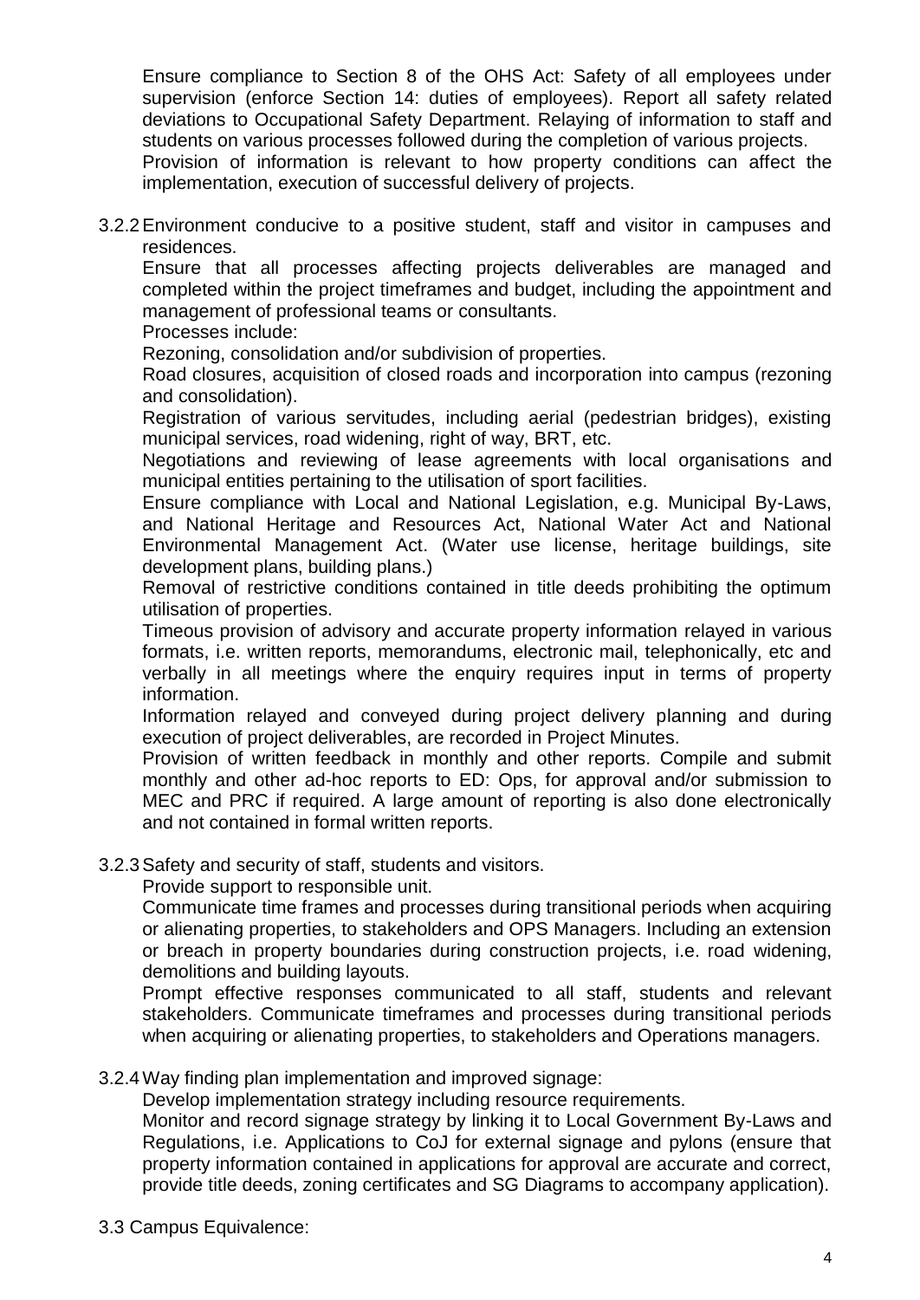Ensure compliance to Section 8 of the OHS Act: Safety of all employees under supervision (enforce Section 14: duties of employees). Report all safety related deviations to Occupational Safety Department. Relaying of information to staff and students on various processes followed during the completion of various projects.

Provision of information is relevant to how property conditions can affect the implementation, execution of successful delivery of projects.

3.2.2Environment conducive to a positive student, staff and visitor in campuses and residences.

Ensure that all processes affecting projects deliverables are managed and completed within the project timeframes and budget, including the appointment and management of professional teams or consultants.

Processes include:

Rezoning, consolidation and/or subdivision of properties.

Road closures, acquisition of closed roads and incorporation into campus (rezoning and consolidation).

Registration of various servitudes, including aerial (pedestrian bridges), existing municipal services, road widening, right of way, BRT, etc.

Negotiations and reviewing of lease agreements with local organisations and municipal entities pertaining to the utilisation of sport facilities.

Ensure compliance with Local and National Legislation, e.g. Municipal By-Laws, and National Heritage and Resources Act, National Water Act and National Environmental Management Act. (Water use license, heritage buildings, site development plans, building plans.)

Removal of restrictive conditions contained in title deeds prohibiting the optimum utilisation of properties.

Timeous provision of advisory and accurate property information relayed in various formats, i.e. written reports, memorandums, electronic mail, telephonically, etc and verbally in all meetings where the enquiry requires input in terms of property information.

Information relayed and conveyed during project delivery planning and during execution of project deliverables, are recorded in Project Minutes.

Provision of written feedback in monthly and other reports. Compile and submit monthly and other ad-hoc reports to ED: Ops, for approval and/or submission to MEC and PRC if required. A large amount of reporting is also done electronically and not contained in formal written reports.

3.2.3Safety and security of staff, students and visitors.

Provide support to responsible unit.

Communicate time frames and processes during transitional periods when acquiring or alienating properties, to stakeholders and OPS Managers. Including an extension or breach in property boundaries during construction projects, i.e. road widening, demolitions and building layouts.

Prompt effective responses communicated to all staff, students and relevant stakeholders. Communicate timeframes and processes during transitional periods when acquiring or alienating properties, to stakeholders and Operations managers.

3.2.4Way finding plan implementation and improved signage:

Develop implementation strategy including resource requirements.

Monitor and record signage strategy by linking it to Local Government By-Laws and Regulations, i.e. Applications to CoJ for external signage and pylons (ensure that property information contained in applications for approval are accurate and correct, provide title deeds, zoning certificates and SG Diagrams to accompany application).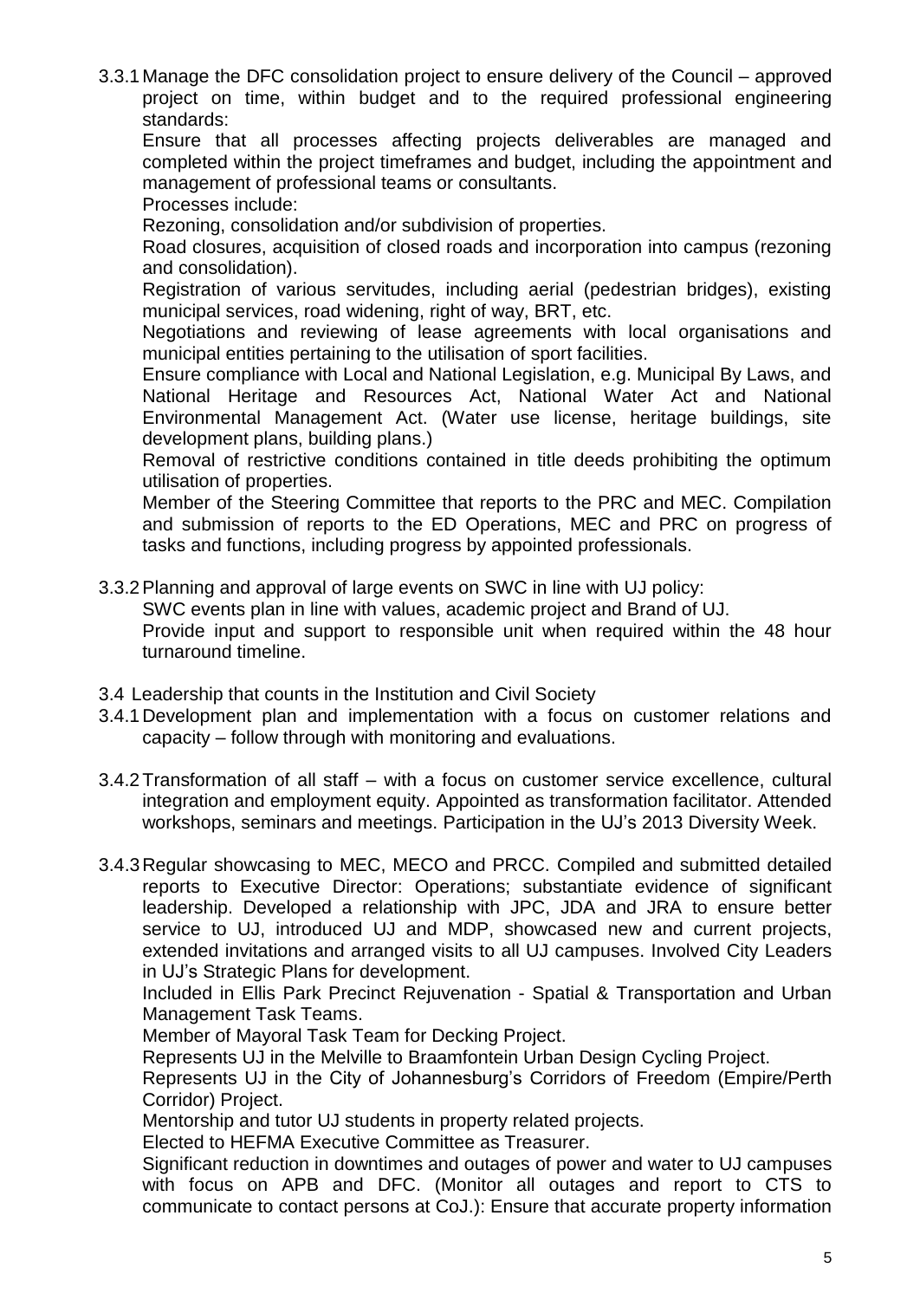3.3.1Manage the DFC consolidation project to ensure delivery of the Council – approved project on time, within budget and to the required professional engineering standards:

Ensure that all processes affecting projects deliverables are managed and completed within the project timeframes and budget, including the appointment and management of professional teams or consultants.

Processes include:

Rezoning, consolidation and/or subdivision of properties.

Road closures, acquisition of closed roads and incorporation into campus (rezoning and consolidation).

Registration of various servitudes, including aerial (pedestrian bridges), existing municipal services, road widening, right of way, BRT, etc.

Negotiations and reviewing of lease agreements with local organisations and municipal entities pertaining to the utilisation of sport facilities.

Ensure compliance with Local and National Legislation, e.g. Municipal By Laws, and National Heritage and Resources Act, National Water Act and National Environmental Management Act. (Water use license, heritage buildings, site development plans, building plans.)

Removal of restrictive conditions contained in title deeds prohibiting the optimum utilisation of properties.

Member of the Steering Committee that reports to the PRC and MEC. Compilation and submission of reports to the ED Operations, MEC and PRC on progress of tasks and functions, including progress by appointed professionals.

3.3.2Planning and approval of large events on SWC in line with UJ policy:

SWC events plan in line with values, academic project and Brand of UJ.

Provide input and support to responsible unit when required within the 48 hour turnaround timeline.

- 3.4 Leadership that counts in the Institution and Civil Society
- 3.4.1Development plan and implementation with a focus on customer relations and capacity – follow through with monitoring and evaluations.
- 3.4.2Transformation of all staff with a focus on customer service excellence, cultural integration and employment equity. Appointed as transformation facilitator. Attended workshops, seminars and meetings. Participation in the UJ's 2013 Diversity Week.
- 3.4.3Regular showcasing to MEC, MECO and PRCC. Compiled and submitted detailed reports to Executive Director: Operations; substantiate evidence of significant leadership. Developed a relationship with JPC, JDA and JRA to ensure better service to UJ, introduced UJ and MDP, showcased new and current projects, extended invitations and arranged visits to all UJ campuses. Involved City Leaders in UJ's Strategic Plans for development.

Included in Ellis Park Precinct Rejuvenation - Spatial & Transportation and Urban Management Task Teams.

Member of Mayoral Task Team for Decking Project.

Represents UJ in the Melville to Braamfontein Urban Design Cycling Project.

Represents UJ in the City of Johannesburg's Corridors of Freedom (Empire/Perth Corridor) Project.

Mentorship and tutor UJ students in property related projects.

Elected to HEFMA Executive Committee as Treasurer.

Significant reduction in downtimes and outages of power and water to UJ campuses with focus on APB and DFC. (Monitor all outages and report to CTS to communicate to contact persons at CoJ.): Ensure that accurate property information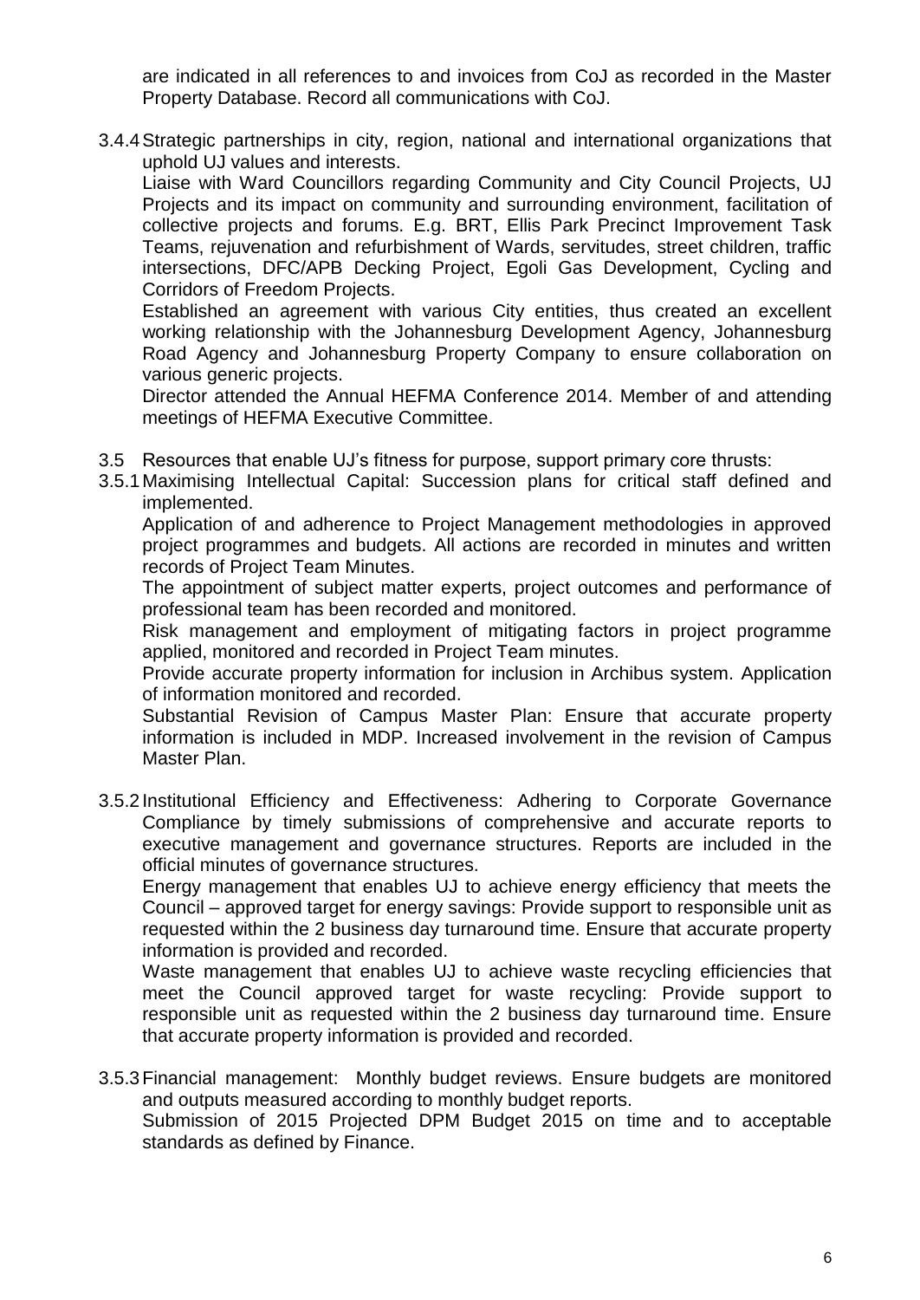are indicated in all references to and invoices from CoJ as recorded in the Master Property Database. Record all communications with CoJ.

3.4.4Strategic partnerships in city, region, national and international organizations that uphold UJ values and interests.

Liaise with Ward Councillors regarding Community and City Council Projects, UJ Projects and its impact on community and surrounding environment, facilitation of collective projects and forums. E.g. BRT, Ellis Park Precinct Improvement Task Teams, rejuvenation and refurbishment of Wards, servitudes, street children, traffic intersections, DFC/APB Decking Project, Egoli Gas Development, Cycling and Corridors of Freedom Projects.

Established an agreement with various City entities, thus created an excellent working relationship with the Johannesburg Development Agency, Johannesburg Road Agency and Johannesburg Property Company to ensure collaboration on various generic projects.

Director attended the Annual HEFMA Conference 2014. Member of and attending meetings of HEFMA Executive Committee.

- 3.5 Resources that enable UJ's fitness for purpose, support primary core thrusts:
- 3.5.1Maximising Intellectual Capital: Succession plans for critical staff defined and implemented.

Application of and adherence to Project Management methodologies in approved project programmes and budgets. All actions are recorded in minutes and written records of Project Team Minutes.

The appointment of subject matter experts, project outcomes and performance of professional team has been recorded and monitored.

Risk management and employment of mitigating factors in project programme applied, monitored and recorded in Project Team minutes.

Provide accurate property information for inclusion in Archibus system. Application of information monitored and recorded.

Substantial Revision of Campus Master Plan: Ensure that accurate property information is included in MDP. Increased involvement in the revision of Campus Master Plan.

3.5.2Institutional Efficiency and Effectiveness: Adhering to Corporate Governance Compliance by timely submissions of comprehensive and accurate reports to executive management and governance structures. Reports are included in the official minutes of governance structures.

Energy management that enables UJ to achieve energy efficiency that meets the Council – approved target for energy savings: Provide support to responsible unit as requested within the 2 business day turnaround time. Ensure that accurate property information is provided and recorded.

Waste management that enables UJ to achieve waste recycling efficiencies that meet the Council approved target for waste recycling: Provide support to responsible unit as requested within the 2 business day turnaround time. Ensure that accurate property information is provided and recorded.

3.5.3Financial management: Monthly budget reviews. Ensure budgets are monitored and outputs measured according to monthly budget reports.

Submission of 2015 Projected DPM Budget 2015 on time and to acceptable standards as defined by Finance.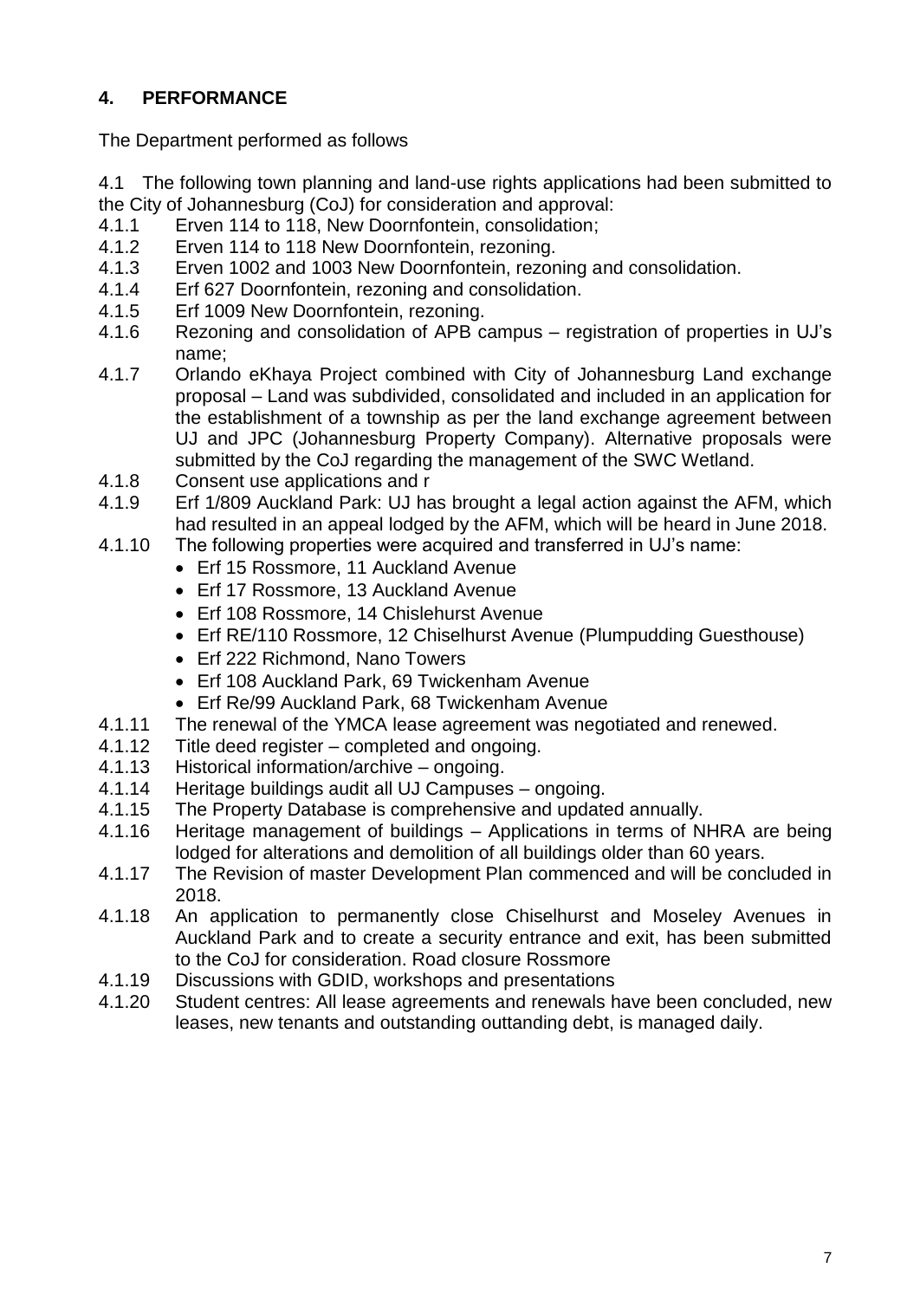# **4. PERFORMANCE**

The Department performed as follows

- 4.1 The following town planning and land-use rights applications had been submitted to the City of Johannesburg (CoJ) for consideration and approval:
- 4.1.1 Erven 114 to 118, New Doornfontein, consolidation;<br>4.1.2 Frven 114 to 118 New Doornfontein, rezoning.
- 4.1.2 Erven 114 to 118 New Doornfontein, rezoning.<br>4.1.3 Erven 1002 and 1003 New Doornfontein, rezor
- Erven 1002 and 1003 New Doornfontein, rezoning and consolidation.
- 4.1.4 Erf 627 Doornfontein, rezoning and consolidation.
- 4.1.5 Erf 1009 New Doornfontein, rezoning.
- 4.1.6 Rezoning and consolidation of APB campus registration of properties in UJ's name;
- 4.1.7 Orlando eKhaya Project combined with City of Johannesburg Land exchange proposal – Land was subdivided, consolidated and included in an application for the establishment of a township as per the land exchange agreement between UJ and JPC (Johannesburg Property Company). Alternative proposals were submitted by the CoJ regarding the management of the SWC Wetland.
- 4.1.8 Consent use applications and r
- 4.1.9 Erf 1/809 Auckland Park: UJ has brought a legal action against the AFM, which had resulted in an appeal lodged by the AFM, which will be heard in June 2018.
- 4.1.10 The following properties were acquired and transferred in UJ's name:
	- Erf 15 Rossmore, 11 Auckland Avenue
	- Erf 17 Rossmore, 13 Auckland Avenue
	- Erf 108 Rossmore, 14 Chislehurst Avenue
	- Erf RE/110 Rossmore, 12 Chiselhurst Avenue (Plumpudding Guesthouse)
	- Erf 222 Richmond, Nano Towers
	- Erf 108 Auckland Park, 69 Twickenham Avenue
	- Erf Re/99 Auckland Park, 68 Twickenham Avenue
- 4.1.11 The renewal of the YMCA lease agreement was negotiated and renewed.
- 4.1.12 Title deed register completed and ongoing.
- 4.1.13 Historical information/archive ongoing.
- 4.1.14 Heritage buildings audit all UJ Campuses ongoing.
- 4.1.15 The Property Database is comprehensive and updated annually.
- 4.1.16 Heritage management of buildings Applications in terms of NHRA are being lodged for alterations and demolition of all buildings older than 60 years.
- 4.1.17 The Revision of master Development Plan commenced and will be concluded in 2018.
- 4.1.18 An application to permanently close Chiselhurst and Moseley Avenues in Auckland Park and to create a security entrance and exit, has been submitted to the CoJ for consideration. Road closure Rossmore
- 4.1.19 Discussions with GDID, workshops and presentations
- 4.1.20 Student centres: All lease agreements and renewals have been concluded, new leases, new tenants and outstanding outtanding debt, is managed daily.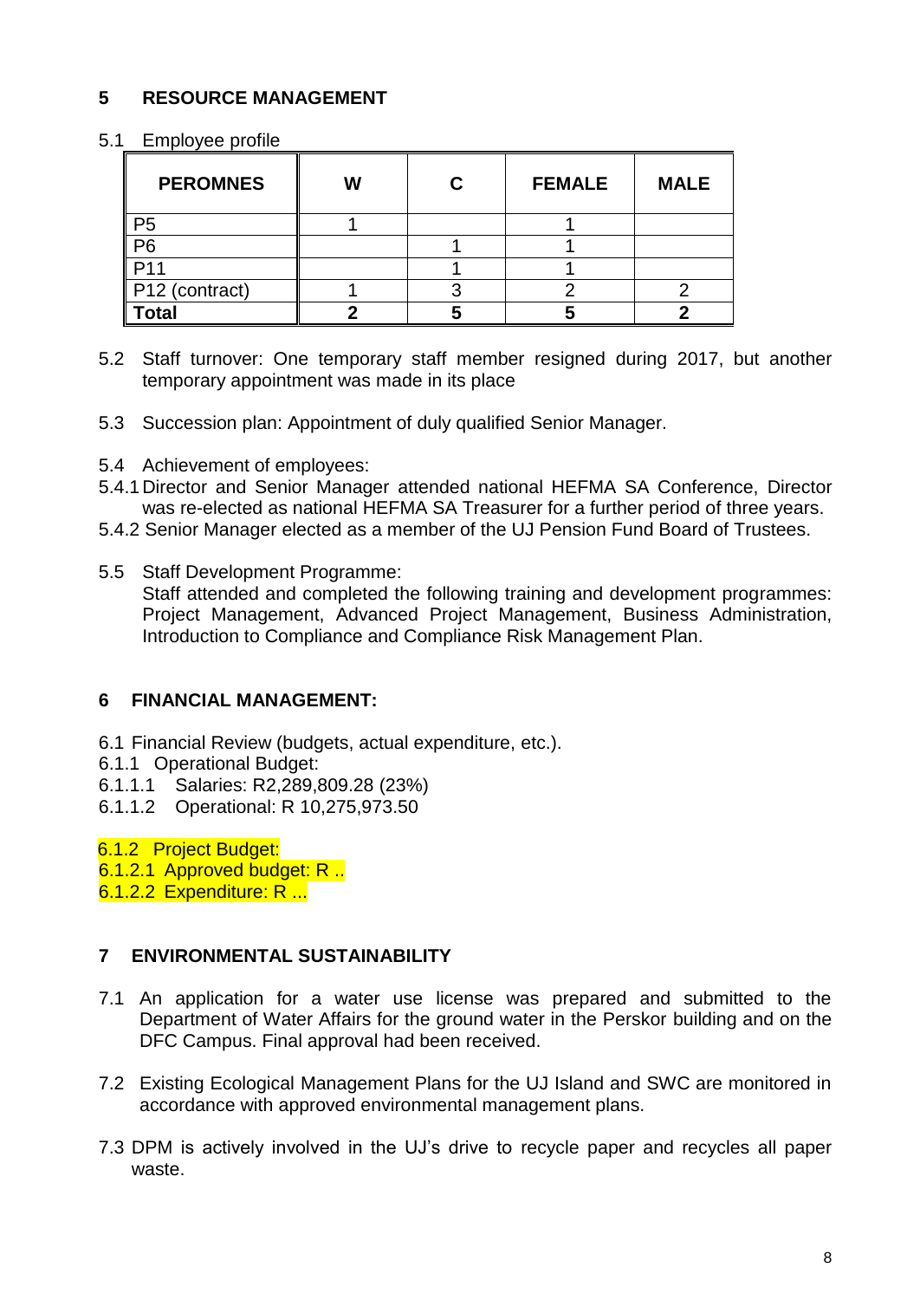# **5 RESOURCE MANAGEMENT**

#### 5.1 Employee profile

| <b>PEROMNES</b> | W | С | <b>FEMALE</b> | <b>MALE</b> |
|-----------------|---|---|---------------|-------------|
|                 |   |   |               |             |
| P6              |   |   |               |             |
|                 |   |   |               |             |
| P12 (contract)  |   |   |               |             |
| <b>otal</b>     |   |   |               |             |

- 5.2 Staff turnover: One temporary staff member resigned during 2017, but another temporary appointment was made in its place
- 5.3 Succession plan: Appointment of duly qualified Senior Manager.
- 5.4 Achievement of employees:
- 5.4.1Director and Senior Manager attended national HEFMA SA Conference, Director was re-elected as national HEFMA SA Treasurer for a further period of three years.
- 5.4.2 Senior Manager elected as a member of the UJ Pension Fund Board of Trustees.
- 5.5 Staff Development Programme: Staff attended and completed the following training and development programmes: Project Management, Advanced Project Management, Business Administration, Introduction to Compliance and Compliance Risk Management Plan.

# **6 FINANCIAL MANAGEMENT:**

- 6.1 Financial Review (budgets, actual expenditure, etc.).
- 6.1.1 Operational Budget:
- 6.1.1.1 Salaries: R2,289,809.28 (23%)
- 6.1.1.2 Operational: R 10,275,973.50

6.1.2 Project Budget:

- 6.1.2.1 Approved budget: R ..
- 6.1.2.2 Expenditure: R ...

# **7 ENVIRONMENTAL SUSTAINABILITY**

- 7.1 An application for a water use license was prepared and submitted to the Department of Water Affairs for the ground water in the Perskor building and on the DFC Campus. Final approval had been received.
- 7.2 Existing Ecological Management Plans for the UJ Island and SWC are monitored in accordance with approved environmental management plans.
- 7.3 DPM is actively involved in the UJ's drive to recycle paper and recycles all paper waste.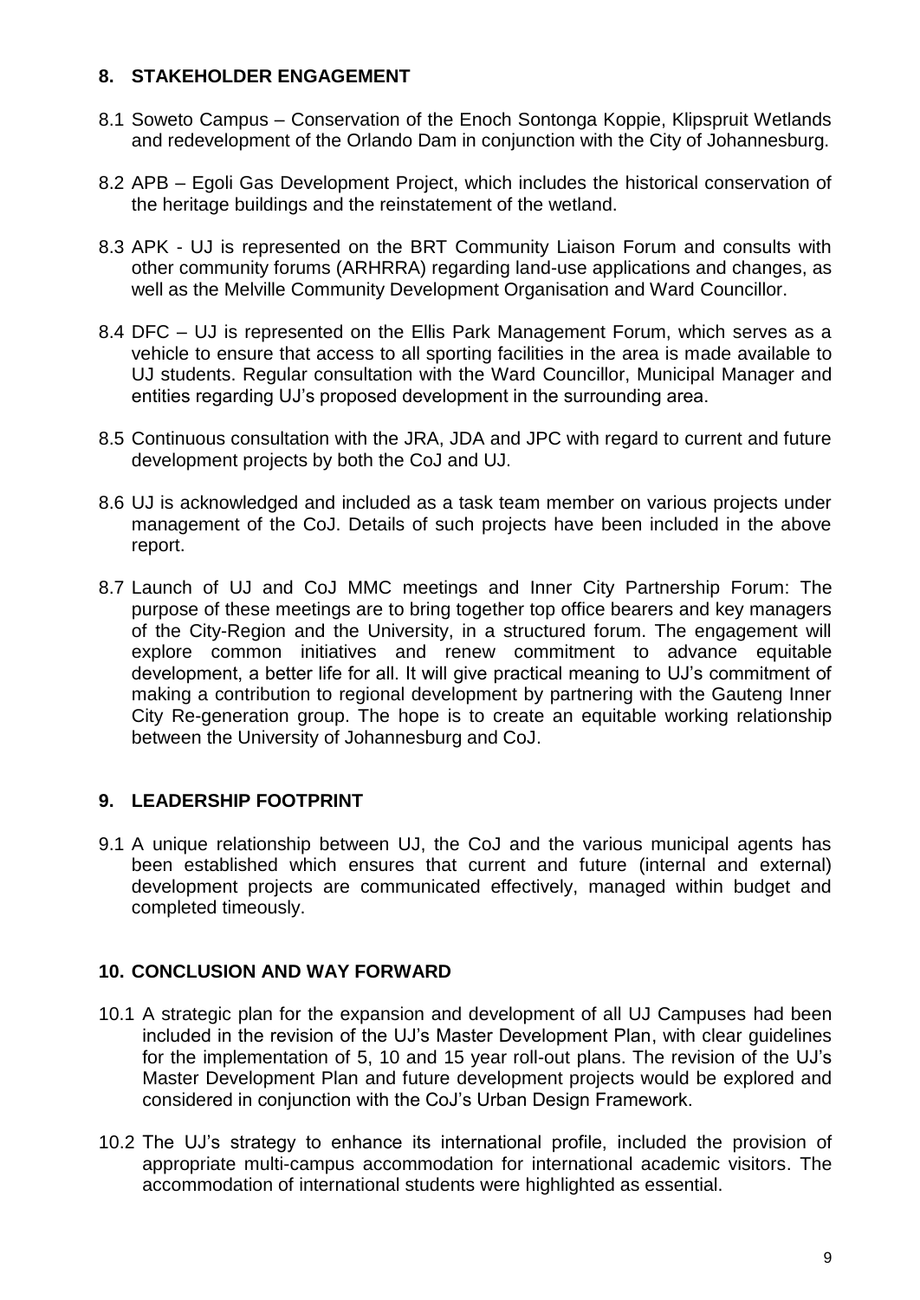# **8. STAKEHOLDER ENGAGEMENT**

- 8.1 Soweto Campus Conservation of the Enoch Sontonga Koppie, Klipspruit Wetlands and redevelopment of the Orlando Dam in conjunction with the City of Johannesburg.
- 8.2 APB Egoli Gas Development Project, which includes the historical conservation of the heritage buildings and the reinstatement of the wetland.
- 8.3 APK UJ is represented on the BRT Community Liaison Forum and consults with other community forums (ARHRRA) regarding land-use applications and changes, as well as the Melville Community Development Organisation and Ward Councillor.
- 8.4 DFC UJ is represented on the Ellis Park Management Forum, which serves as a vehicle to ensure that access to all sporting facilities in the area is made available to UJ students. Regular consultation with the Ward Councillor, Municipal Manager and entities regarding UJ's proposed development in the surrounding area.
- 8.5 Continuous consultation with the JRA, JDA and JPC with regard to current and future development projects by both the CoJ and UJ.
- 8.6 UJ is acknowledged and included as a task team member on various projects under management of the CoJ. Details of such projects have been included in the above report.
- 8.7 Launch of UJ and CoJ MMC meetings and Inner City Partnership Forum: The purpose of these meetings are to bring together top office bearers and key managers of the City-Region and the University, in a structured forum. The engagement will explore common initiatives and renew commitment to advance equitable development, a better life for all. It will give practical meaning to UJ's commitment of making a contribution to regional development by partnering with the Gauteng Inner City Re-generation group. The hope is to create an equitable working relationship between the University of Johannesburg and CoJ.

# **9. LEADERSHIP FOOTPRINT**

9.1 A unique relationship between UJ, the CoJ and the various municipal agents has been established which ensures that current and future (internal and external) development projects are communicated effectively, managed within budget and completed timeously.

# **10. CONCLUSION AND WAY FORWARD**

- 10.1 A strategic plan for the expansion and development of all UJ Campuses had been included in the revision of the UJ's Master Development Plan, with clear guidelines for the implementation of 5, 10 and 15 year roll-out plans. The revision of the UJ's Master Development Plan and future development projects would be explored and considered in conjunction with the CoJ's Urban Design Framework.
- 10.2 The UJ's strategy to enhance its international profile, included the provision of appropriate multi-campus accommodation for international academic visitors. The accommodation of international students were highlighted as essential.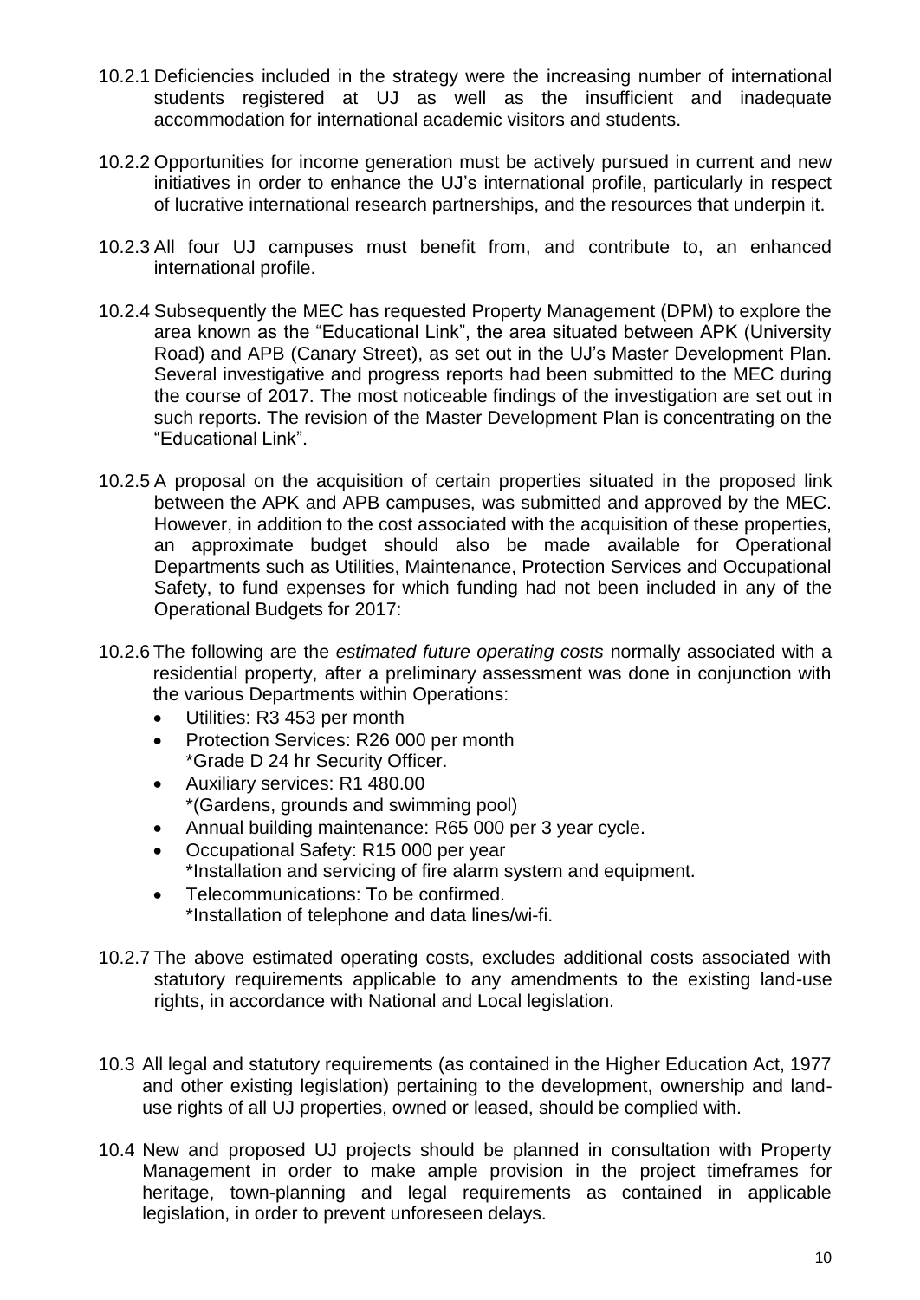- 10.2.1 Deficiencies included in the strategy were the increasing number of international students registered at UJ as well as the insufficient and inadequate accommodation for international academic visitors and students.
- 10.2.2 Opportunities for income generation must be actively pursued in current and new initiatives in order to enhance the UJ's international profile, particularly in respect of lucrative international research partnerships, and the resources that underpin it.
- 10.2.3 All four UJ campuses must benefit from, and contribute to, an enhanced international profile.
- 10.2.4 Subsequently the MEC has requested Property Management (DPM) to explore the area known as the "Educational Link", the area situated between APK (University Road) and APB (Canary Street), as set out in the UJ's Master Development Plan. Several investigative and progress reports had been submitted to the MEC during the course of 2017. The most noticeable findings of the investigation are set out in such reports. The revision of the Master Development Plan is concentrating on the "Educational Link".
- 10.2.5 A proposal on the acquisition of certain properties situated in the proposed link between the APK and APB campuses, was submitted and approved by the MEC. However, in addition to the cost associated with the acquisition of these properties, an approximate budget should also be made available for Operational Departments such as Utilities, Maintenance, Protection Services and Occupational Safety, to fund expenses for which funding had not been included in any of the Operational Budgets for 2017:
- 10.2.6 The following are the *estimated future operating costs* normally associated with a residential property, after a preliminary assessment was done in conjunction with the various Departments within Operations:
	- Utilities: R3 453 per month
	- Protection Services: R26 000 per month \*Grade D 24 hr Security Officer.
	- Auxiliary services: R1 480.00 \*(Gardens, grounds and swimming pool)
	- Annual building maintenance: R65 000 per 3 year cycle.
	- Occupational Safety: R15 000 per year \*Installation and servicing of fire alarm system and equipment.
	- Telecommunications: To be confirmed. \*Installation of telephone and data lines/wi-fi.
- 10.2.7 The above estimated operating costs, excludes additional costs associated with statutory requirements applicable to any amendments to the existing land-use rights, in accordance with National and Local legislation.
- 10.3 All legal and statutory requirements (as contained in the Higher Education Act, 1977 and other existing legislation) pertaining to the development, ownership and landuse rights of all UJ properties, owned or leased, should be complied with.
- 10.4 New and proposed UJ projects should be planned in consultation with Property Management in order to make ample provision in the project timeframes for heritage, town-planning and legal requirements as contained in applicable legislation, in order to prevent unforeseen delays.